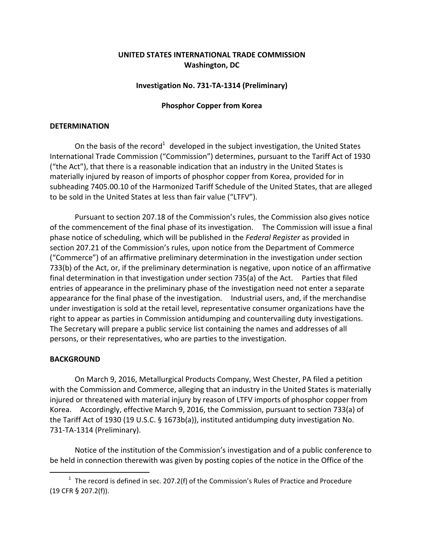# **UNITED STATES INTERNATIONAL TRADE COMMISSION Washington, DC**

## **Investigation No. 731‐TA‐1314 (Preliminary)**

### **Phosphor Copper from Korea**

### **DETERMINATION**

On the basis of the record<sup>1</sup> developed in the subject investigation, the United States International Trade Commission ("Commission") determines, pursuant to the Tariff Act of 1930 ("the Act"), that there is a reasonable indication that an industry in the United States is materially injured by reason of imports of phosphor copper from Korea, provided for in subheading 7405.00.10 of the Harmonized Tariff Schedule of the United States, that are alleged to be sold in the United States at less than fair value ("LTFV").

Pursuant to section 207.18 of the Commission's rules, the Commission also gives notice of the commencement of the final phase of its investigation. The Commission will issue a final phase notice of scheduling, which will be published in the *Federal Register* as provided in section 207.21 of the Commission's rules, upon notice from the Department of Commerce ("Commerce") of an affirmative preliminary determination in the investigation under section 733(b) of the Act, or, if the preliminary determination is negative, upon notice of an affirmative final determination in that investigation under section 735(a) of the Act. Parties that filed entries of appearance in the preliminary phase of the investigation need not enter a separate appearance for the final phase of the investigation. Industrial users, and, if the merchandise under investigation is sold at the retail level, representative consumer organizations have the right to appear as parties in Commission antidumping and countervailing duty investigations. The Secretary will prepare a public service list containing the names and addresses of all persons, or their representatives, who are parties to the investigation.

### **BACKGROUND**

 $\overline{a}$ 

On March 9, 2016, Metallurgical Products Company, West Chester, PA filed a petition with the Commission and Commerce, alleging that an industry in the United States is materially injured or threatened with material injury by reason of LTFV imports of phosphor copper from Korea. Accordingly, effective March 9, 2016, the Commission, pursuant to section 733(a) of the Tariff Act of 1930 (19 U.S.C. § 1673b(a)), instituted antidumping duty investigation No. 731‐TA‐1314 (Preliminary).

Notice of the institution of the Commission's investigation and of a public conference to be held in connection therewith was given by posting copies of the notice in the Office of the

 $1$  The record is defined in sec. 207.2(f) of the Commission's Rules of Practice and Procedure (19 CFR § 207.2(f)).